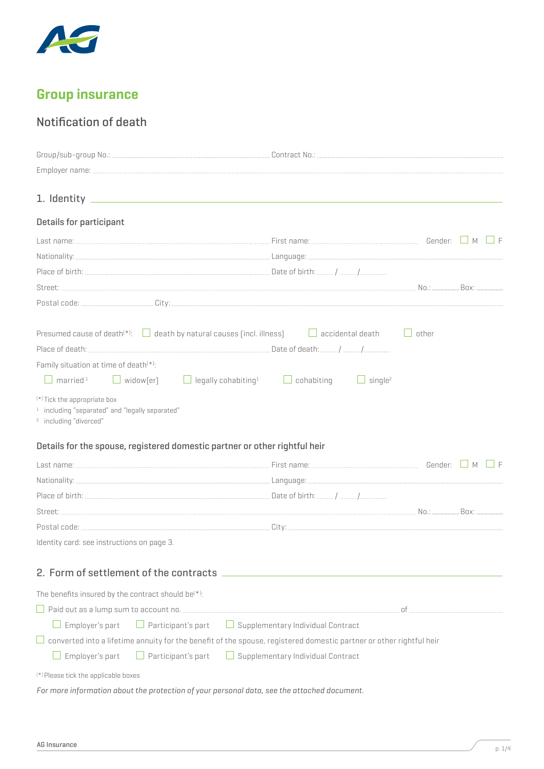

# **Group insurance**

# Notification of death

| Details for participant                                                                                                                                                                                                                                                                                                                                                                                         |                                          |              |  |
|-----------------------------------------------------------------------------------------------------------------------------------------------------------------------------------------------------------------------------------------------------------------------------------------------------------------------------------------------------------------------------------------------------------------|------------------------------------------|--------------|--|
|                                                                                                                                                                                                                                                                                                                                                                                                                 |                                          |              |  |
|                                                                                                                                                                                                                                                                                                                                                                                                                 |                                          |              |  |
|                                                                                                                                                                                                                                                                                                                                                                                                                 |                                          |              |  |
|                                                                                                                                                                                                                                                                                                                                                                                                                 |                                          |              |  |
|                                                                                                                                                                                                                                                                                                                                                                                                                 |                                          |              |  |
| Presumed cause of death <sup>(*)</sup> : $\Box$ death by natural causes (incl. illness) $\Box$ accidental death<br>Family situation at time of death <sup>(*)</sup> :<br>$\Box$ married <sup>1</sup> $\Box$ widow[er] $\Box$ legally cohabiting $\Box$ cohabiting<br><sup>(*)</sup> Tick the appropriate box<br><sup>1</sup> including "separated" and "legally separated"<br><sup>2</sup> including "divorced" | $\Box$ single <sup>2</sup>               | $\Box$ other |  |
| Details for the spouse, registered domestic partner or other rightful heir                                                                                                                                                                                                                                                                                                                                      |                                          |              |  |
|                                                                                                                                                                                                                                                                                                                                                                                                                 |                                          |              |  |
|                                                                                                                                                                                                                                                                                                                                                                                                                 |                                          |              |  |
|                                                                                                                                                                                                                                                                                                                                                                                                                 |                                          |              |  |
|                                                                                                                                                                                                                                                                                                                                                                                                                 |                                          |              |  |
| Identity card: see instructions on page 3.                                                                                                                                                                                                                                                                                                                                                                      |                                          |              |  |
| 2. Form of settlement of the contracts ________                                                                                                                                                                                                                                                                                                                                                                 |                                          |              |  |
| The benefits insured by the contract should be <sup>(*)</sup> :                                                                                                                                                                                                                                                                                                                                                 |                                          |              |  |
|                                                                                                                                                                                                                                                                                                                                                                                                                 |                                          |              |  |
| $\Box$ Participant's part<br>Employer's part                                                                                                                                                                                                                                                                                                                                                                    | $\Box$ Supplementary Individual Contract |              |  |
| converted into a lifetime annuity for the benefit of the spouse, registered domestic partner or other rightful heir                                                                                                                                                                                                                                                                                             |                                          |              |  |
| Employer's part<br>$\Box$ Participant's part                                                                                                                                                                                                                                                                                                                                                                    | $\Box$ Supplementary Individual Contract |              |  |
| <sup>(*)</sup> Please tick the applicable boxes                                                                                                                                                                                                                                                                                                                                                                 |                                          |              |  |

*For more information about the protection of your personal data, see the attached document.*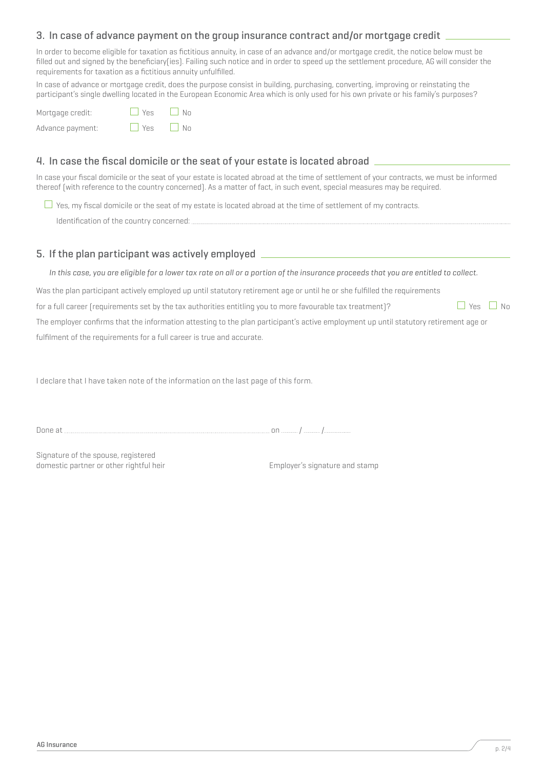## 3. In case of advance payment on the group insurance contract and/or mortgage credit

In order to become eligible for taxation as fictitious annuity, in case of an advance and/or mortgage credit, the notice below must be filled out and signed by the beneficiary(ies). Failing such notice and in order to speed up the settlement procedure, AG will consider the requirements for taxation as a fictitious annuity unfulfilled.

In case of advance or mortgage credit, does the purpose consist in building, purchasing, converting, improving or reinstating the participant's single dwelling located in the European Economic Area which is only used for his own private or his family's purposes?

Mortgage credit:  $\Box$  Yes  $\Box$  No Advance payment:  $\Box$  Yes  $\Box$  No

## 4. In case the fiscal domicile or the seat of your estate is located abroad

In case your fiscal domicile or the seat of your estate is located abroad at the time of settlement of your contracts, we must be informed thereof (with reference to the country concerned). As a matter of fact, in such event, special measures may be required.

 $\Box$  Yes, my fiscal domicile or the seat of my estate is located abroad at the time of settlement of my contracts. Identification of the country concerned:

## 5. If the plan participant was actively employed

*In this case, you are eligible for a lower tax rate on all or a portion of the insurance proceeds that you are entitled to collect.*

Was the plan participant actively employed up until statutory retirement age or until he or she fulfilled the requirements

for a full career (requirements set by the tax authorities entitling you to more favourable tax treatment)?  $\Box$  Yes  $\Box$  No

The employer confirms that the information attesting to the plan participant's active employment up until statutory retirement age or fulfilment of the requirements for a full career is true and accurate.

I declare that I have taken note of the information on the last page of this form.

Done at *mature and the contract of the contract of the contract of the contract of mature / mature / mature / mature / mature / mature / mature / mature / mature / mature / mature / mature / mature / mature / mature / ma* 

Signature of the spouse, registered domestic partner or other rightful heir example that the employer's signature and stamp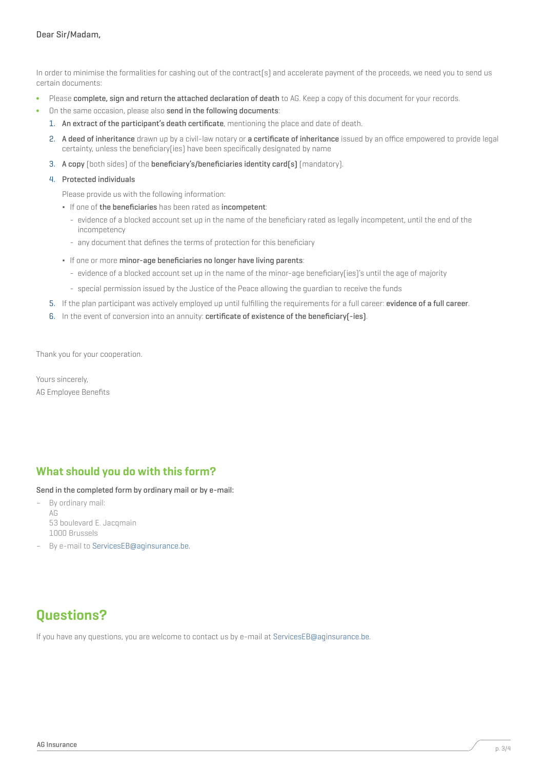In order to minimise the formalities for cashing out of the contract(s) and accelerate payment of the proceeds, we need you to send us certain documents:

- Please complete, sign and return the attached declaration of death to AG. Keep a copy of this document for your records.
- On the same occasion, please also send in the following documents:
	- 1. An extract of the participant's death certificate, mentioning the place and date of death.
	- 2. A deed of inheritance drawn up by a civil-law notary or a certificate of inheritance issued by an office empowered to provide legal certainty, unless the beneficiary(ies) have been specifically designated by name
	- 3. A copy (both sides) of the beneficiary's/beneficiaries identity card(s) (mandatory).
	- 4. Protected individuals

Please provide us with the following information:

- If one of the beneficiaries has been rated as incompetent:
	- evidence of a blocked account set up in the name of the beneficiary rated as legally incompetent, until the end of the incompetency
	- any document that defines the terms of protection for this beneficiary
- If one or more minor-age beneficiaries no longer have living parents:
	- evidence of a blocked account set up in the name of the minor-age beneficiary(ies)'s until the age of majority
	- special permission issued by the Justice of the Peace allowing the guardian to receive the funds
- 5. If the plan participant was actively employed up until fulfilling the requirements for a full career: evidence of a full career.
- 6. In the event of conversion into an annuity: certificate of existence of the beneficiary(-ies).

Thank you for your cooperation.

Yours sincerely, AG Employee Benefits

# **What should you do with this form?**

Send in the completed form by ordinary mail or by e-mail:

- By ordinary mail: AG 53 boulevard E. Jacqmain 1000 Brussels
- By e-mail to ServicesEB@aginsurance.be.

# **Questions?**

If you have any questions, you are welcome to contact us by e-mail at ServicesEB@aginsurance.be.